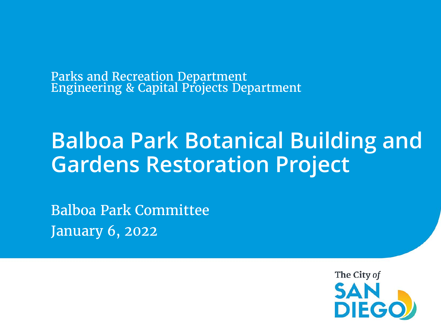Parks and Recreation Department Engineering & Capital Projects Department

# **Balboa Park Botanical Building and Gardens Restoration Project**

Balboa Park Committee January 6, 2022

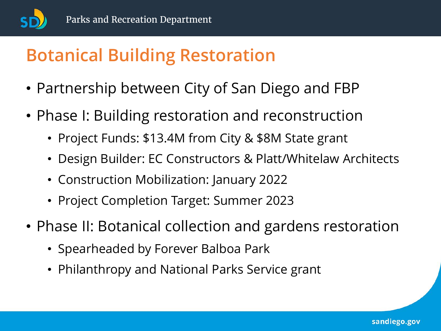

- Partnership between City of San Diego and FBP
- Phase I: Building restoration and reconstruction
	- Project Funds: \$13.4M from City & \$8M State grant
	- Design Builder: EC Constructors & Platt/Whitelaw Architects
	- Construction Mobilization: January 2022
	- Project Completion Target: Summer 2023
- Phase II: Botanical collection and gardens restoration
	- Spearheaded by Forever Balboa Park
	- Philanthropy and National Parks Service grant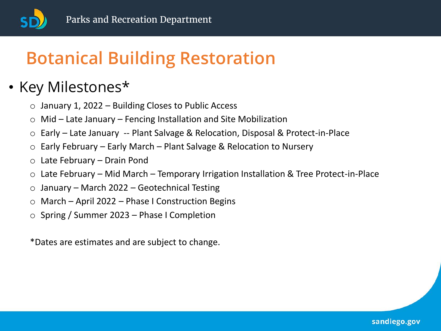

#### • Key Milestones\*

- $\circ$  January 1, 2022 Building Closes to Public Access
- $\circ$  Mid Late January Fencing Installation and Site Mobilization
- o Early Late January -- Plant Salvage & Relocation, Disposal & Protect-in-Place
- o Early February Early March Plant Salvage & Relocation to Nursery
- o Late February Drain Pond
- o Late February Mid March Temporary Irrigation Installation & Tree Protect-in-Place
- $\circ$  January March 2022 Geotechnical Testing
- o March April 2022 Phase I Construction Begins
- o Spring / Summer 2023 Phase I Completion

\*Dates are estimates and are subject to change.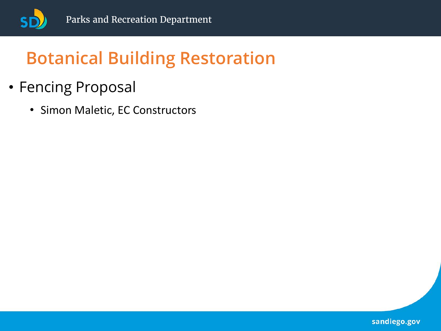

- Fencing Proposal
	- Simon Maletic, EC Constructors